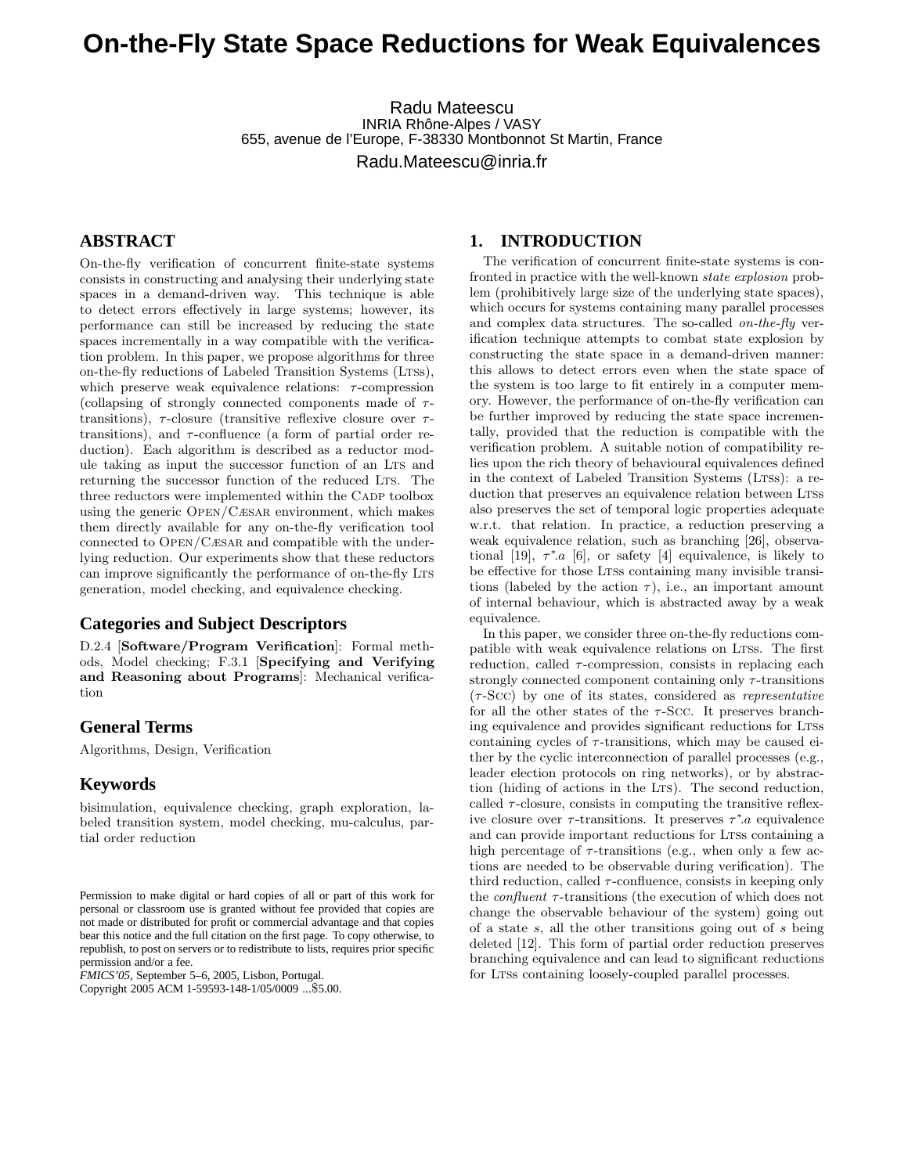Radu Mateescu INRIA Rhône-Alpes / VASY 655, avenue de l'Europe, F-38330 Montbonnot St Martin, France Radu.Mateescu@inria.fr

# **ABSTRACT**

On-the-fly verification of concurrent finite-state systems consists in constructing and analysing their underlying state spaces in a demand-driven way. This technique is able to detect errors effectively in large systems; however, its performance can still be increased by reducing the state spaces incrementally in a way compatible with the verification problem. In this paper, we propose algorithms for three on-the-fly reductions of Labeled Transition Systems (LTSs), which preserve weak equivalence relations:  $\tau$ -compression (collapsing of strongly connected components made of  $\tau$ transitions),  $\tau$ -closure (transitive reflexive closure over  $\tau$ transitions), and  $\tau$ -confluence (a form of partial order reduction). Each algorithm is described as a reductor module taking as input the successor function of an LTS and returning the successor function of the reduced LTS. The three reductors were implemented within the CADP toolbox using the generic Open/Cæsar environment, which makes them directly available for any on-the-fly verification tool connected to Open/Cæsar and compatible with the underlying reduction. Our experiments show that these reductors can improve significantly the performance of on-the-fly LTS generation, model checking, and equivalence checking.

### **Categories and Subject Descriptors**

D.2.4 [Software/Program Verification]: Formal methods, Model checking; F.3.1 [Specifying and Verifying and Reasoning about Programs]: Mechanical verification

### **General Terms**

Algorithms, Design, Verification

#### **Keywords**

bisimulation, equivalence checking, graph exploration, labeled transition system, model checking, mu-calculus, partial order reduction

*FMICS'05,* September 5–6, 2005, Lisbon, Portugal.

Copyright 2005 ACM 1-59593-148-1/05/0009 ...\$5.00.

### **1. INTRODUCTION**

The verification of concurrent finite-state systems is confronted in practice with the well-known state explosion problem (prohibitively large size of the underlying state spaces), which occurs for systems containing many parallel processes and complex data structures. The so-called *on-the-fly* verification technique attempts to combat state explosion by constructing the state space in a demand-driven manner: this allows to detect errors even when the state space of the system is too large to fit entirely in a computer memory. However, the performance of on-the-fly verification can be further improved by reducing the state space incrementally, provided that the reduction is compatible with the verification problem. A suitable notion of compatibility relies upon the rich theory of behavioural equivalences defined in the context of Labeled Transition Systems (LTSs): a reduction that preserves an equivalence relation between LTSs also preserves the set of temporal logic properties adequate w.r.t. that relation. In practice, a reduction preserving a weak equivalence relation, such as branching [26], observational [19],  $\tau^* a$  [6], or safety [4] equivalence, is likely to be effective for those LTSs containing many invisible transitions (labeled by the action  $\tau$ ), i.e., an important amount of internal behaviour, which is abstracted away by a weak equivalence.

In this paper, we consider three on-the-fly reductions compatible with weak equivalence relations on Ltss. The first reduction, called  $\tau$ -compression, consists in replacing each strongly connected component containing only  $\tau$ -transitions  $(\tau$ -Scc) by one of its states, considered as *representative* for all the other states of the  $\tau$ -Scc. It preserves branching equivalence and provides significant reductions for Ltss containing cycles of  $\tau$ -transitions, which may be caused either by the cyclic interconnection of parallel processes (e.g., leader election protocols on ring networks), or by abstraction (hiding of actions in the LTS). The second reduction, called  $\tau$ -closure, consists in computing the transitive reflexive closure over  $\tau$ -transitions. It preserves  $\tau^*$  a equivalence and can provide important reductions for LTSs containing a high percentage of  $\tau$ -transitions (e.g., when only a few actions are needed to be observable during verification). The third reduction, called  $\tau$ -confluence, consists in keeping only the  $\emph{confluent}$   $\tau\text{-transitions}$  (the execution of which does not change the observable behaviour of the system) going out of a state s, all the other transitions going out of s being deleted [12]. This form of partial order reduction preserves branching equivalence and can lead to significant reductions for LTSs containing loosely-coupled parallel processes.

Permission to make digital or hard copies of all or part of this work for personal or classroom use is granted without fee provided that copies are not made or distributed for profit or commercial advantage and that copies bear this notice and the full citation on the first page. To copy otherwise, to republish, to post on servers or to redistribute to lists, requires prior specific permission and/or a fee.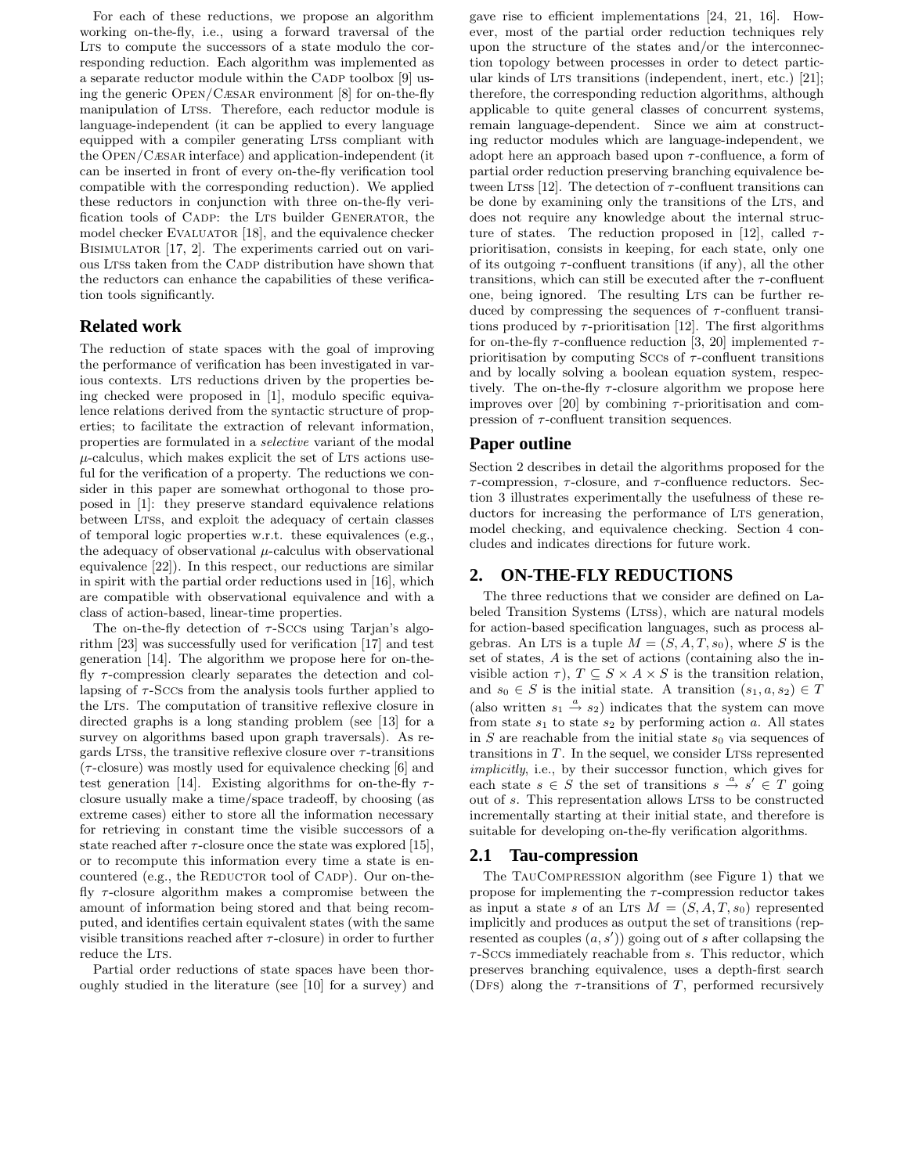For each of these reductions, we propose an algorithm working on-the-fly, i.e., using a forward traversal of the LTS to compute the successors of a state modulo the corresponding reduction. Each algorithm was implemented as a separate reductor module within the CADP toolbox [9] using the generic Open/Cæsar environment [8] for on-the-fly manipulation of LTSs. Therefore, each reductor module is language-independent (it can be applied to every language equipped with a compiler generating LTSs compliant with the Open/Cæsar interface) and application-independent (it can be inserted in front of every on-the-fly verification tool compatible with the corresponding reduction). We applied these reductors in conjunction with three on-the-fly verification tools of CADP: the LTS builder GENERATOR, the model checker EVALUATOR [18], and the equivalence checker BISIMULATOR [17, 2]. The experiments carried out on various Ltss taken from the Cadp distribution have shown that the reductors can enhance the capabilities of these verification tools significantly.

## **Related work**

The reduction of state spaces with the goal of improving the performance of verification has been investigated in various contexts. Lts reductions driven by the properties being checked were proposed in [1], modulo specific equivalence relations derived from the syntactic structure of properties; to facilitate the extraction of relevant information, properties are formulated in a selective variant of the modal  $\mu$ -calculus, which makes explicit the set of LTs actions useful for the verification of a property. The reductions we consider in this paper are somewhat orthogonal to those proposed in [1]: they preserve standard equivalence relations between LTSs, and exploit the adequacy of certain classes of temporal logic properties w.r.t. these equivalences (e.g., the adequacy of observational  $\mu$ -calculus with observational equivalence [22]). In this respect, our reductions are similar in spirit with the partial order reductions used in [16], which are compatible with observational equivalence and with a class of action-based, linear-time properties.

The on-the-fly detection of  $\tau$ -Sccs using Tarjan's algorithm [23] was successfully used for verification [17] and test generation [14]. The algorithm we propose here for on-thefly  $\tau$ -compression clearly separates the detection and collapsing of  $\tau$ -Sccs from the analysis tools further applied to the LTS. The computation of transitive reflexive closure in directed graphs is a long standing problem (see [13] for a survey on algorithms based upon graph traversals). As regards Ltss, the transitive reflexive closure over  $\tau$ -transitions  $(\tau$ -closure) was mostly used for equivalence checking [6] and test generation [14]. Existing algorithms for on-the-fly  $\tau$ closure usually make a time/space tradeoff, by choosing (as extreme cases) either to store all the information necessary for retrieving in constant time the visible successors of a state reached after  $\tau$ -closure once the state was explored [15], or to recompute this information every time a state is encountered (e.g., the REDUCTOR tool of CADP). Our on-thefly  $\tau$ -closure algorithm makes a compromise between the amount of information being stored and that being recomputed, and identifies certain equivalent states (with the same visible transitions reached after  $\tau$ -closure) in order to further reduce the LTS.

Partial order reductions of state spaces have been thoroughly studied in the literature (see [10] for a survey) and gave rise to efficient implementations [24, 21, 16]. However, most of the partial order reduction techniques rely upon the structure of the states and/or the interconnection topology between processes in order to detect particular kinds of LTs transitions (independent, inert, etc.) [21]; therefore, the corresponding reduction algorithms, although applicable to quite general classes of concurrent systems, remain language-dependent. Since we aim at constructing reductor modules which are language-independent, we adopt here an approach based upon  $\tau$ -confluence, a form of partial order reduction preserving branching equivalence between LTSs [12]. The detection of  $\tau$ -confluent transitions can be done by examining only the transitions of the LTS, and does not require any knowledge about the internal structure of states. The reduction proposed in [12], called  $\tau$ prioritisation, consists in keeping, for each state, only one of its outgoing  $\tau$ -confluent transitions (if any), all the other transitions, which can still be executed after the  $\tau$ -confluent one, being ignored. The resulting LTS can be further reduced by compressing the sequences of  $\tau$ -confluent transitions produced by  $\tau$ -prioritisation [12]. The first algorithms for on-the-fly  $\tau$ -confluence reduction [3, 20] implemented  $\tau$ prioritisation by computing Sccs of  $\tau$ -confluent transitions and by locally solving a boolean equation system, respectively. The on-the-fly  $\tau$ -closure algorithm we propose here improves over [20] by combining  $\tau$ -prioritisation and compression of  $\tau$ -confluent transition sequences.

### **Paper outline**

Section 2 describes in detail the algorithms proposed for the  $\tau$ -compression,  $\tau$ -closure, and  $\tau$ -confluence reductors. Section 3 illustrates experimentally the usefulness of these reductors for increasing the performance of LTS generation, model checking, and equivalence checking. Section 4 concludes and indicates directions for future work.

## **2. ON-THE-FLY REDUCTIONS**

The three reductions that we consider are defined on Labeled Transition Systems (LTSs), which are natural models for action-based specification languages, such as process algebras. An LTs is a tuple  $M = (S, A, T, s_0)$ , where S is the set of states, A is the set of actions (containing also the invisible action  $\tau$ ),  $T \subseteq S \times A \times S$  is the transition relation, and  $s_0 \in S$  is the initial state. A transition  $(s_1, a, s_2) \in T$ (also written  $s_1 \stackrel{a}{\rightarrow} s_2$ ) indicates that the system can move from state  $s_1$  to state  $s_2$  by performing action a. All states in  $S$  are reachable from the initial state  $s_0$  via sequences of transitions in  $T$ . In the sequel, we consider LTSs represented implicitly, i.e., by their successor function, which gives for each state  $s \in S$  the set of transitions  $s \stackrel{a}{\rightarrow} s' \in T$  going out of s. This representation allows LTSs to be constructed incrementally starting at their initial state, and therefore is suitable for developing on-the-fly verification algorithms.

### **2.1 Tau-compression**

The TauCompression algorithm (see Figure 1) that we propose for implementing the  $\tau$ -compression reductor takes as input a state s of an LTS  $M = (S, A, T, s_0)$  represented implicitly and produces as output the set of transitions (represented as couples  $(a, s')$  going out of s after collapsing the  $\tau$ -Sccs immediately reachable from  $s$ . This reductor, which preserves branching equivalence, uses a depth-first search (DFs) along the  $\tau$ -transitions of T, performed recursively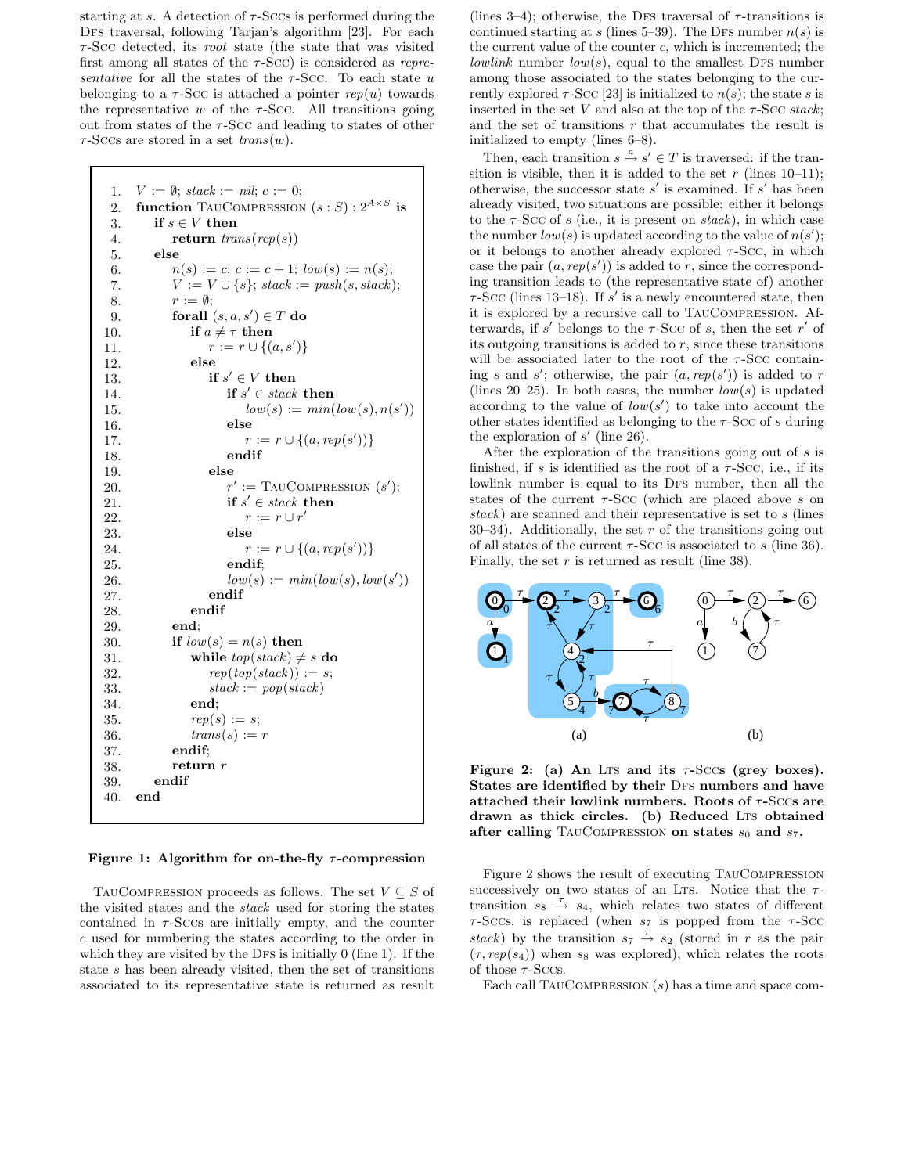starting at s. A detection of  $\tau$ -Sccs is performed during the DFS traversal, following Tarjan's algorithm [23]. For each  $\tau$ -Scc detected, its *root* state (the state that was visited first among all states of the  $\tau$ -Scc) is considered as *repre*sentative for all the states of the  $\tau$ -Scc. To each state u belonging to a  $\tau$ -Scc is attached a pointer rep(u) towards the representative w of the  $\tau$ -Scc. All transitions going out from states of the  $\tau$ -Scc and leading to states of other  $\tau$ -Sccs are stored in a set  $trans(w)$ .

```
1. V := \emptyset; stack := nil; c := 0;
 2. function TAUCOMPRESSION (s : S) : 2^{A \times S} is
3. if s \in V then
4. return trans(rep(s))5. else
6. n(s) := c; c := c + 1; low(s) := n(s);
7. V := V \cup \{s\}; stack := push(s, stack);
8. r := \emptyset;9. forall (s, a, s') \in T do
10. if a \neq \tau then
11. r := r \cup \{(a, s')\}12. else
13. if s' \in V then
14. if s' \in stack then
15. low(s) := min(low(s), n(s'))16. else
17. r := r \cup \{(a, rep(s'))\}18. endif
19. else
20. r\prime := TAUCOMPRESSION (s');
21. if s' \in stack then
22. r := r \cup r'23. else
24. r := r \cup \{(a, rep(s'))\}25. endif;
26. low(s) := min(low(s), low(s'))27. endif
28. endif
29. end;
30. if low(s) = n(s) then
31. while top(state) \neq s do
32. rep(top(state)) := s;33. stack := pop(state)34. end;
35. rep(s) := s;36. trans(s) := r37. endif;
38. return r39. endif
40. end
```
Figure 1: Algorithm for on-the-fly  $\tau$ -compression

TAUCOMPRESSION proceeds as follows. The set  $V \subseteq S$  of the visited states and the stack used for storing the states contained in  $\tau$ -Sccs are initially empty, and the counter c used for numbering the states according to the order in which they are visited by the DFS is initially  $0$  (line 1). If the state s has been already visited, then the set of transitions associated to its representative state is returned as result

(lines 3–4); otherwise, the DFS traversal of  $\tau$ -transitions is continued starting at s (lines 5–39). The DFS number  $n(s)$  is the current value of the counter c, which is incremented; the lowlink number  $low(s)$ , equal to the smallest DFS number among those associated to the states belonging to the currently explored  $\tau$ -Scc [23] is initialized to  $n(s)$ ; the state s is inserted in the set V and also at the top of the  $\tau$ -Scc stack; and the set of transitions  $r$  that accumulates the result is initialized to empty (lines 6–8).

Then, each transition  $s \stackrel{a}{\rightarrow} s' \in T$  is traversed: if the transition is visible, then it is added to the set r (lines  $10-11$ ); otherwise, the successor state  $s'$  is examined. If  $s'$  has been already visited, two situations are possible: either it belongs to the  $\tau$ -Scc of s (i.e., it is present on stack), in which case the number  $low(s)$  is updated according to the value of  $n(s')$ ; or it belongs to another already explored  $\tau$ -Scc, in which case the pair  $(a, rep(s'))$  is added to r, since the corresponding transition leads to (the representative state of) another  $\tau$ -Scc (lines 13–18). If s' is a newly encountered state, then it is explored by a recursive call to TauCompression. Afterwards, if s' belongs to the  $\tau$ -Scc of s, then the set r' of its outgoing transitions is added to  $r$ , since these transitions will be associated later to the root of the  $\tau$ -Scc containing s and s'; otherwise, the pair  $(a, rep(s'))$  is added to r (lines 20–25). In both cases, the number  $low(s)$  is updated according to the value of  $low(s')$  to take into account the other states identified as belonging to the  $\tau$ -Scc of s during the exploration of  $s'$  (line 26).

After the exploration of the transitions going out of s is finished, if s is identified as the root of a  $\tau$ -Scc, i.e., if its lowlink number is equal to its DFS number, then all the states of the current  $\tau$ -Scc (which are placed above s on stack) are scanned and their representative is set to s (lines 30–34). Additionally, the set  $r$  of the transitions going out of all states of the current  $\tau$ -Scc is associated to s (line 36). Finally, the set  $r$  is returned as result (line 38).



Figure 2: (a) An Lts and its  $\tau$ -Sccs (grey boxes). States are identified by their DFS numbers and have attached their lowlink numbers. Roots of  $\tau$ -Sccs are drawn as thick circles. (b) Reduced LTS obtained after calling TAUCOMPRESSION on states  $s_0$  and  $s_7$ .

Figure 2 shows the result of executing TauCompression successively on two states of an Lts. Notice that the  $\tau$ transition  $s_8 \stackrel{\tau}{\rightarrow} s_4$ , which relates two states of different  $\tau$ -Sccs, is replaced (when  $s_7$  is popped from the  $\tau$ -Scc stack) by the transition  $s_7 \stackrel{\tau}{\rightarrow} s_2$  (stored in r as the pair  $(\tau, rep(s_4))$  when s<sub>8</sub> was explored), which relates the roots of those  $\tau$ -Sccs.

Each call  $TaUCOMPRESSION(s)$  has a time and space com-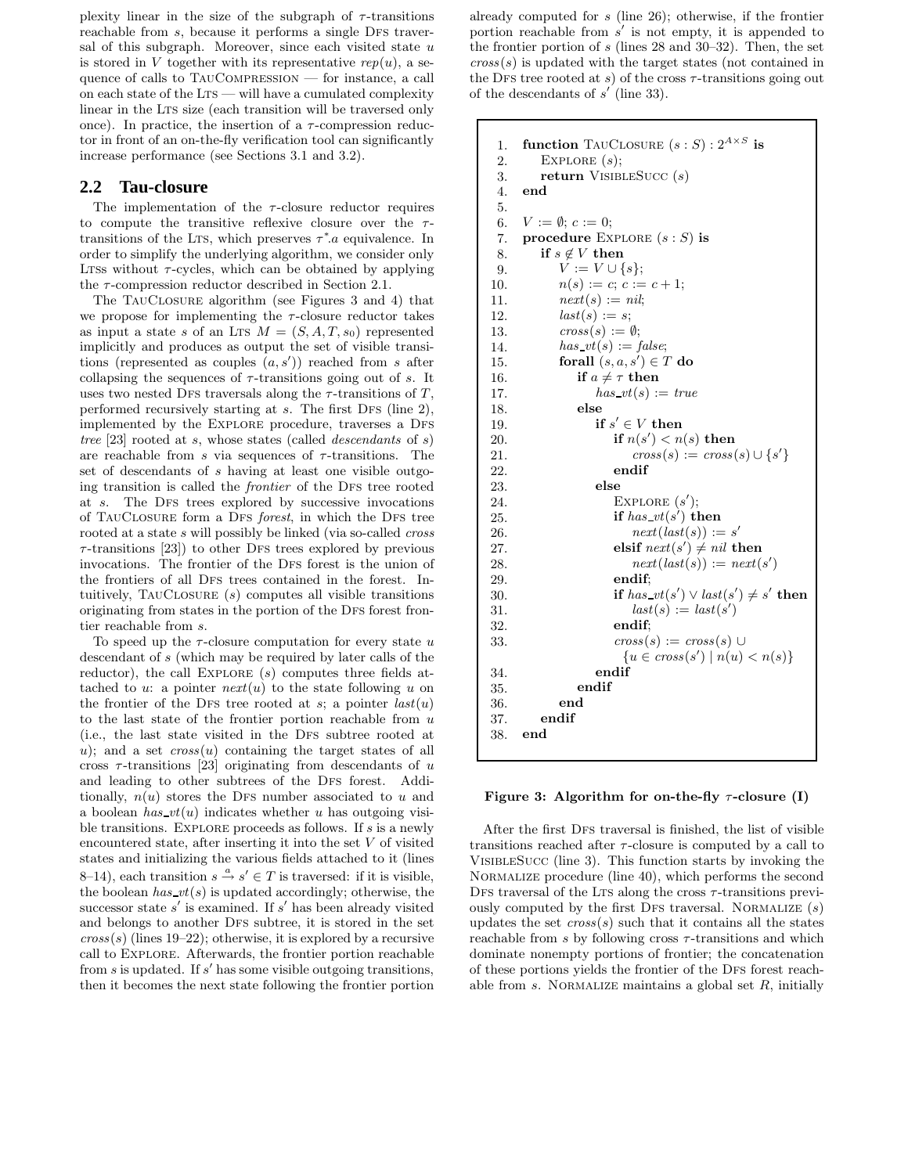plexity linear in the size of the subgraph of  $\tau$ -transitions reachable from  $s$ , because it performs a single DFS traversal of this subgraph. Moreover, since each visited state  $u$ is stored in V together with its representative  $rep(u)$ , a sequence of calls to TauCompression — for instance, a call on each state of the  $LTS$  — will have a cumulated complexity linear in the LTS size (each transition will be traversed only once). In practice, the insertion of a  $\tau$ -compression reductor in front of an on-the-fly verification tool can significantly increase performance (see Sections 3.1 and 3.2).

### **2.2 Tau-closure**

The implementation of the  $\tau$ -closure reductor requires to compute the transitive reflexive closure over the  $\tau$ transitions of the LTS, which preserves  $\tau^*$  a equivalence. In order to simplify the underlying algorithm, we consider only LTSs without  $\tau$ -cycles, which can be obtained by applying the  $\tau$ -compression reductor described in Section 2.1.

The TauClosure algorithm (see Figures 3 and 4) that we propose for implementing the  $\tau$ -closure reductor takes as input a state s of an LTS  $M = (S, A, T, s_0)$  represented implicitly and produces as output the set of visible transitions (represented as couples  $(a, s')$ ) reached from s after collapsing the sequences of  $\tau$ -transitions going out of s. It uses two nested DFs traversals along the  $\tau$ -transitions of T, performed recursively starting at  $s$ . The first DFS (line 2), implemented by the EXPLORE procedure, traverses a DFS tree [23] rooted at s, whose states (called *descendants* of s) are reachable from s via sequences of  $\tau$ -transitions. The set of descendants of s having at least one visible outgoing transition is called the *frontier* of the DFS tree rooted at s. The Dfs trees explored by successive invocations of TAUCLOSURE form a DFS forest, in which the DFS tree rooted at a state  $s$  will possibly be linked (via so-called  $cross$  $\tau$ -transitions [23]) to other DFs trees explored by previous invocations. The frontier of the DFS forest is the union of the frontiers of all DFS trees contained in the forest. Intuitively,  $TaUCLOSURE(s)$  computes all visible transitions originating from states in the portion of the DFS forest frontier reachable from s.

To speed up the  $\tau$ -closure computation for every state u descendant of s (which may be required by later calls of the reductor), the call EXPLORE  $(s)$  computes three fields attached to u: a pointer  $next(u)$  to the state following u on the frontier of the DFS tree rooted at s; a pointer  $last(u)$ to the last state of the frontier portion reachable from  $u$ (i.e., the last state visited in the Dfs subtree rooted at u); and a set  $cross(u)$  containing the target states of all cross  $\tau$ -transitions [23] originating from descendants of u and leading to other subtrees of the DFS forest. Additionally,  $n(u)$  stores the DFS number associated to u and a boolean has  $vt(u)$  indicates whether u has outgoing visible transitions. EXPLORE proceeds as follows. If  $s$  is a newly encountered state, after inserting it into the set  $V$  of visited states and initializing the various fields attached to it (lines 8–14), each transition  $s \stackrel{a}{\rightarrow} s' \in T$  is traversed: if it is visible, the boolean has  $vt(s)$  is updated accordingly; otherwise, the successor state  $s'$  is examined. If  $s'$  has been already visited and belongs to another DFS subtree, it is stored in the set  $cross(s)$  (lines 19–22); otherwise, it is explored by a recursive call to Explore. Afterwards, the frontier portion reachable from  $s$  is updated. If  $s'$  has some visible outgoing transitions, then it becomes the next state following the frontier portion

already computed for s (line 26); otherwise, if the frontier portion reachable from  $s'$  is not empty, it is appended to the frontier portion of  $s$  (lines 28 and 30–32). Then, the set  $cross(s)$  is updated with the target states (not contained in the DFS tree rooted at s) of the cross  $\tau$ -transitions going out of the descendants of  $s'$  (line 33).

```
1. function TAUCLOSURE (s : S) : 2^{A \times S} is
2. EXPLORE (s);
3. return VISIBLESUCC (s)
4. end
5.
6. V := \emptyset; c := 0;
7. procedure EXPLORE (s : S) is
8. if s \notin V then
9. V := V \cup \{s\};10. n(s) := c; c := c + 1;11. next(s) := nil;12. last(s) := s;13. cross(s) := \emptyset;14. has v(t(s)) := false;15. forall (s, a, s') \in T do
16. if a \neq \tau then
17. has\_vt(s) := true18. else
19. if s' \in V then
20. if n(s') < n(s) then
21. cross(s) := cross(s) \cup {s'}
22. endif
23. else
24. EXPLORE (s');
25. if has\_vt(s') then
26. next(list(s)) := s'27. elsif next(s') \neq nil then
28. next(last(s)) := next(s')29. endif;
30. if has\_vt(s') \lor last(s') \neq s' then
31. last(s) := last(s')32. endif;
33. cross(s) := cross(s) \cup{u \in cross(s') | n(u) < n(s)}34. endif
35. endif
36. end
37. endif
38. end
```
#### Figure 3: Algorithm for on-the-fly  $\tau$ -closure (I)

After the first DFS traversal is finished, the list of visible transitions reached after  $\tau$ -closure is computed by a call to VisibleSucc (line 3). This function starts by invoking the NORMALIZE procedure (line 40), which performs the second DFS traversal of the LTS along the cross  $\tau$ -transitions previously computed by the first DFS traversal. NORMALIZE  $(s)$ updates the set  $cross(s)$  such that it contains all the states reachable from s by following cross  $\tau$ -transitions and which dominate nonempty portions of frontier; the concatenation of these portions yields the frontier of the DFS forest reachable from  $s$ . NORMALIZE maintains a global set  $R$ , initially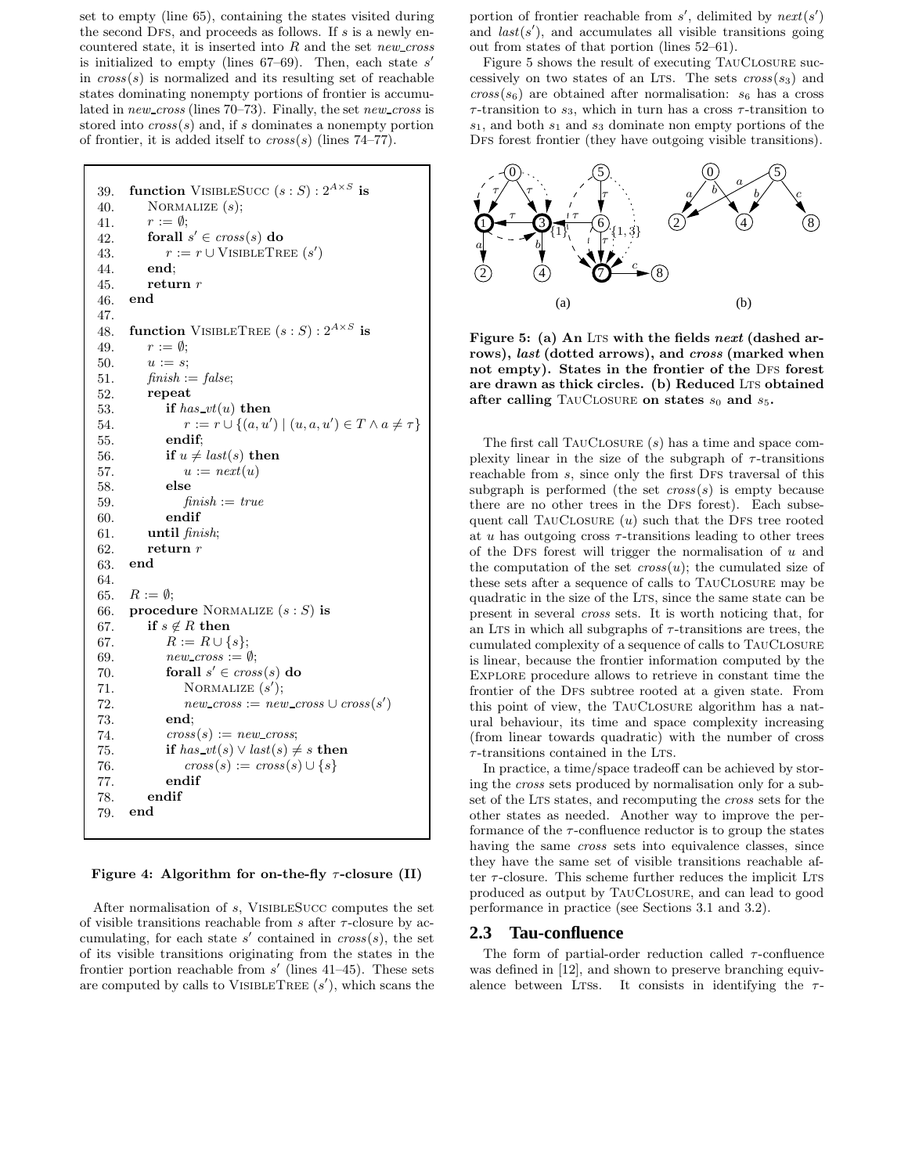set to empty (line 65), containing the states visited during the second DFS, and proceeds as follows. If  $s$  is a newly encountered state, it is inserted into  $R$  and the set new cross is initialized to empty (lines  $67-69$ ). Then, each state s' in  $\cos(s)$  is normalized and its resulting set of reachable states dominating nonempty portions of frontier is accumulated in new cross (lines 70–73). Finally, the set new cross is stored into  $\cos(s)$  and, if s dominates a nonempty portion of frontier, it is added itself to  $cross(s)$  (lines 74–77).

```
39. function VISIBLESUCC (s : S) : 2^{A \times S} is
40. NORMALIZE (s);
41. r := \emptyset;42. for all s' \in cross(s) do
43. r := r \cup \text{VisibleTree}(s')44. end;
45. return r46. end
47.
48. function VISIBLETREE (s : S) : 2^{A \times S} is
49. r := \emptyset;50. u := s;51. \text{f} \text{in} \text{ish} := \text{false};52. repeat
53. if has vt(u) then
54. r := r \cup \{(a, u') \mid (u, a, u') \in T \land a \neq \tau\}55. endif;
56. if u \neq last(s) then
57. u := next(u)58. else
59. \qquad \qquad \text{finish} := \text{true}60. endif
61. until finish;
62. return r63. end
64.
65. R := \emptyset;
66. procedure NORMALIZE (s : S) is
67. if s \notin R then
67. R := R \cup \{s\};69. new\_cross := \emptyset;70. forall s' \in cross(s) do
71. NORMALIZE (s');
72. new\_cross := new\_cross \cup cross(s')73. end;
74. cross(s) := new\_cross;75. if has vt(s) \vee last(s) \neq s then
76. cross(s) := cross(s) \cup \{s\}77. endif
78. endif
79. end
```
Figure 4: Algorithm for on-the-fly  $\tau$ -closure (II)

After normalisation of s, VisibleSucc computes the set of visible transitions reachable from  $s$  after  $\tau$ -closure by accumulating, for each state  $s'$  contained in  $\text{cross}(s)$ , the set of its visible transitions originating from the states in the frontier portion reachable from  $s'$  (lines 41–45). These sets are computed by calls to VISIBLETREE  $(s')$ , which scans the

portion of frontier reachable from  $s'$ , delimited by  $next(s')$ and  $last(s')$ , and accumulates all visible transitions going out from states of that portion (lines 52–61).

Figure 5 shows the result of executing TAUCLOSURE successively on two states of an Lts. The sets  $\text{cross}(s_3)$  and  $cross(s_6)$  are obtained after normalisation:  $s_6$  has a cross  $\tau$ -transition to  $s_3$ , which in turn has a cross  $\tau$ -transition to  $s_1$ , and both  $s_1$  and  $s_3$  dominate non empty portions of the DFS forest frontier (they have outgoing visible transitions).



Figure 5: (a) An LTs with the fields next (dashed arrows), *last* (dotted arrows), and *cross* (marked when not empty). States in the frontier of the DFS forest are drawn as thick circles. (b) Reduced LTS obtained after calling TAUCLOSURE on states  $s_0$  and  $s_5$ .

The first call TauClosure (s) has a time and space complexity linear in the size of the subgraph of  $\tau$ -transitions reachable from s, since only the first DFS traversal of this subgraph is performed (the set  $\text{cross}(s)$ ) is empty because there are no other trees in the DFS forest). Each subsequent call TAUCLOSURE  $(u)$  such that the DFS tree rooted at u has outgoing cross  $\tau$ -transitions leading to other trees of the DFS forest will trigger the normalisation of  $u$  and the computation of the set  $\cos(u)$ ; the cumulated size of these sets after a sequence of calls to TauClosure may be quadratic in the size of the LTS, since the same state can be present in several cross sets. It is worth noticing that, for an Lts in which all subgraphs of  $\tau$ -transitions are trees, the cumulated complexity of a sequence of calls to TauClosure is linear, because the frontier information computed by the Explore procedure allows to retrieve in constant time the frontier of the DFS subtree rooted at a given state. From this point of view, the TauClosure algorithm has a natural behaviour, its time and space complexity increasing (from linear towards quadratic) with the number of cross  $\tau$ -transitions contained in the LTS.

In practice, a time/space tradeoff can be achieved by storing the cross sets produced by normalisation only for a subset of the LTS states, and recomputing the *cross* sets for the other states as needed. Another way to improve the performance of the  $\tau$ -confluence reductor is to group the states having the same *cross* sets into equivalence classes, since they have the same set of visible transitions reachable after  $\tau$ -closure. This scheme further reduces the implicit LTS produced as output by TauClosure, and can lead to good performance in practice (see Sections 3.1 and 3.2).

#### **2.3 Tau-confluence**

The form of partial-order reduction called  $\tau$ -confluence was defined in [12], and shown to preserve branching equivalence between LTSs. It consists in identifying the  $\tau$ -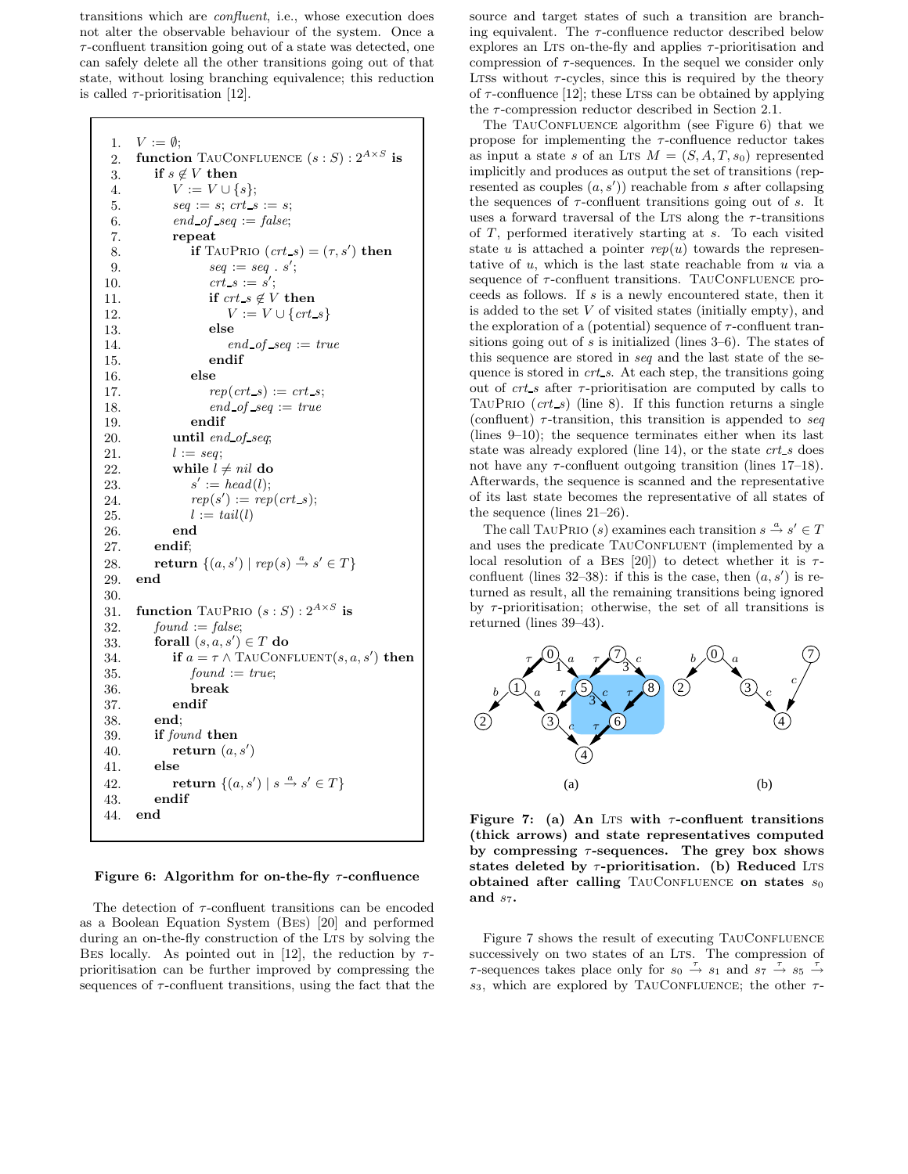transitions which are confluent, i.e., whose execution does not alter the observable behaviour of the system. Once a  $\tau$ -confluent transition going out of a state was detected, one can safely delete all the other transitions going out of that state, without losing branching equivalence; this reduction is called  $\tau$ -prioritisation [12].

```
1. V := \emptyset;
 2. function TAUCONFLUENCE (s : S) : 2^{A \times S} is
3. if s \notin V then
 4. V := V \cup \{s\};5. \textit{seq} := s; \textit{crt\_s} := s;6. end\_of\_seq := false;7. repeat
 8. if TAUPRIO (ct\_s) = (\tau, s') then
 9. seq := seq : s';
10. crt\_s := s';11. if crt\_s \notin V then
12. V := V \cup \{crt_s\}13. else
14. end\_of\_seq := true15. endif
16. else
17. rep(crt_s) := crt_s;18. end\_of\_seq := true19. endif
20. until end_of_seq;
21. l := seq;22. while l \neq nil do
23.
             ' := \nhead(l);24. rep(s') := rep(crt_s);25. l := tail(l)26. end
27. endif;
28. return \{(a, s') | rep(s) \stackrel{a}{\rightarrow} s' \in T\}29. end
30.
31. function TAUPRIO (s : S) : 2^{A \times S} is
32. found := false;33. for all (s, a, s') \in T do
34. if a = \tau \wedge \text{TauConfluent}(s, a, s') then
35. found := true;
36. break
37. endif
38. end;
39. if found then
40. return (a, s')41. else
42. return \{(a, s') | s \stackrel{a}{\rightarrow} s' \in T\}43. endif
44. end
```
#### Figure 6: Algorithm for on-the-fly  $\tau$ -confluence

The detection of  $\tau$ -confluent transitions can be encoded as a Boolean Equation System (Bes) [20] and performed during an on-the-fly construction of the LTS by solving the BES locally. As pointed out in [12], the reduction by  $\tau$ prioritisation can be further improved by compressing the sequences of  $\tau$ -confluent transitions, using the fact that the

source and target states of such a transition are branching equivalent. The  $\tau$ -confluence reductor described below explores an Lts on-the-fly and applies  $\tau$ -prioritisation and compression of  $\tau$ -sequences. In the sequel we consider only Ltss without  $\tau$ -cycles, since this is required by the theory of  $\tau$ -confluence [12]; these LTSs can be obtained by applying the  $\tau$ -compression reductor described in Section 2.1.

The TAUCONFLUENCE algorithm (see Figure 6) that we propose for implementing the  $\tau$ -confluence reductor takes as input a state s of an LTS  $M = (S, A, T, s_0)$  represented implicitly and produces as output the set of transitions (represented as couples  $(a, s')$  reachable from s after collapsing the sequences of  $\tau$ -confluent transitions going out of s. It uses a forward traversal of the LTS along the  $\tau$ -transitions of T, performed iteratively starting at s. To each visited state u is attached a pointer  $rep(u)$  towards the representative of  $u$ , which is the last state reachable from  $u$  via a sequence of  $\tau$ -confluent transitions. TAUCONFLUENCE proceeds as follows. If s is a newly encountered state, then it is added to the set  $V$  of visited states (initially empty), and the exploration of a (potential) sequence of  $\tau$ -confluent transitions going out of  $s$  is initialized (lines  $3-6$ ). The states of this sequence are stored in seq and the last state of the sequence is stored in crt s. At each step, the transitions going out of  $crt_s$  after  $\tau$ -prioritisation are computed by calls to TAUPRIO  $(cts)$  (line 8). If this function returns a single (confluent)  $\tau$ -transition, this transition is appended to seq (lines 9–10); the sequence terminates either when its last state was already explored (line 14), or the state crt s does not have any  $\tau$ -confluent outgoing transition (lines 17–18). Afterwards, the sequence is scanned and the representative of its last state becomes the representative of all states of the sequence (lines 21–26).

The call TAUPRIO (s) examines each transition  $s \stackrel{a}{\rightarrow} s' \in T$ and uses the predicate TAUCONFLUENT (implemented by a local resolution of a BES [20]) to detect whether it is  $\tau$ confluent (lines 32–38): if this is the case, then  $(a, s')$  is returned as result, all the remaining transitions being ignored by  $\tau$ -prioritisation; otherwise, the set of all transitions is returned (lines 39–43).



Figure 7: (a) An Lts with  $\tau$ -confluent transitions (thick arrows) and state representatives computed by compressing  $\tau$ -sequences. The grey box shows states deleted by  $\tau$ -prioritisation. (b) Reduced LTS obtained after calling TAUCONFLUENCE on states  $s_0$ and  $s_7$ .

Figure 7 shows the result of executing TAUCONFLUENCE successively on two states of an LTS. The compression of  $\tau$ -sequences takes place only for  $s_0 \stackrel{\tau}{\rightarrow} s_1$  and  $s_7 \stackrel{\tau}{\rightarrow} s_5 \stackrel{\tau}{\rightarrow} s_7$ s<sub>3</sub>, which are explored by TAUCONFLUENCE; the other  $\tau$ -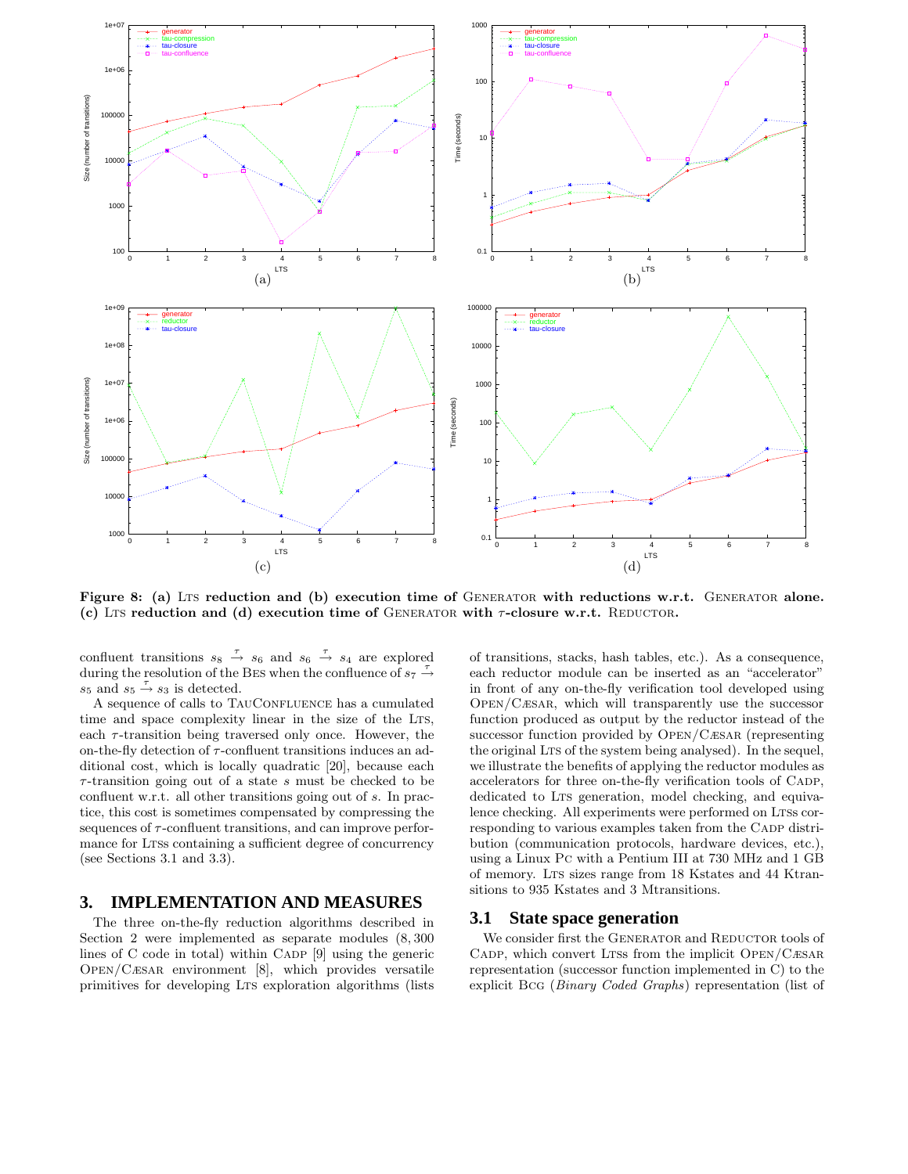

Figure 8: (a) LTS reduction and (b) execution time of GENERATOR with reductions w.r.t. GENERATOR alone. (c) LTS reduction and (d) execution time of GENERATOR with  $\tau$ -closure w.r.t. REDUCTOR.

confluent transitions  $s_8 \stackrel{\tau}{\rightarrow} s_6$  and  $s_6 \stackrel{\tau}{\rightarrow} s_4$  are explored during the resolution of the BES when the confluence of  $s_7 \rightarrow$ s<sub>5</sub> and  $s_5 \stackrel{\tau}{\rightarrow} s_3$  is detected.

A sequence of calls to TAUCONFLUENCE has a cumulated time and space complexity linear in the size of the LTS, each  $\tau$ -transition being traversed only once. However, the on-the-fly detection of  $\tau$ -confluent transitions induces an additional cost, which is locally quadratic [20], because each  $\tau$ -transition going out of a state  $s$  must be checked to be confluent w.r.t. all other transitions going out of s. In practice, this cost is sometimes compensated by compressing the sequences of  $\tau$ -confluent transitions, and can improve performance for LTSs containing a sufficient degree of concurrency (see Sections 3.1 and 3.3).

### **3. IMPLEMENTATION AND MEASURES**

The three on-the-fly reduction algorithms described in Section 2 were implemented as separate modules (8, 300 lines of  $C$  code in total) within  $CADP$  [9] using the generic Open/Cæsar environment [8], which provides versatile primitives for developing Lts exploration algorithms (lists of transitions, stacks, hash tables, etc.). As a consequence, each reductor module can be inserted as an "accelerator" in front of any on-the-fly verification tool developed using Open/Cæsar, which will transparently use the successor function produced as output by the reductor instead of the successor function provided by Open/Cæsar (representing the original LTS of the system being analysed). In the sequel, we illustrate the benefits of applying the reductor modules as accelerators for three on-the-fly verification tools of CADP, dedicated to LTS generation, model checking, and equivalence checking. All experiments were performed on LTSs corresponding to various examples taken from the CADP distribution (communication protocols, hardware devices, etc.), using a Linux Pc with a Pentium III at 730 MHz and 1 GB of memory. Lts sizes range from 18 Kstates and 44 Ktransitions to 935 Kstates and 3 Mtransitions.

#### **3.1 State space generation**

We consider first the GENERATOR and REDUCTOR tools of CADP, which convert LTSs from the implicit OPEN/CÆSAR representation (successor function implemented in C) to the explicit Bcg (Binary Coded Graphs) representation (list of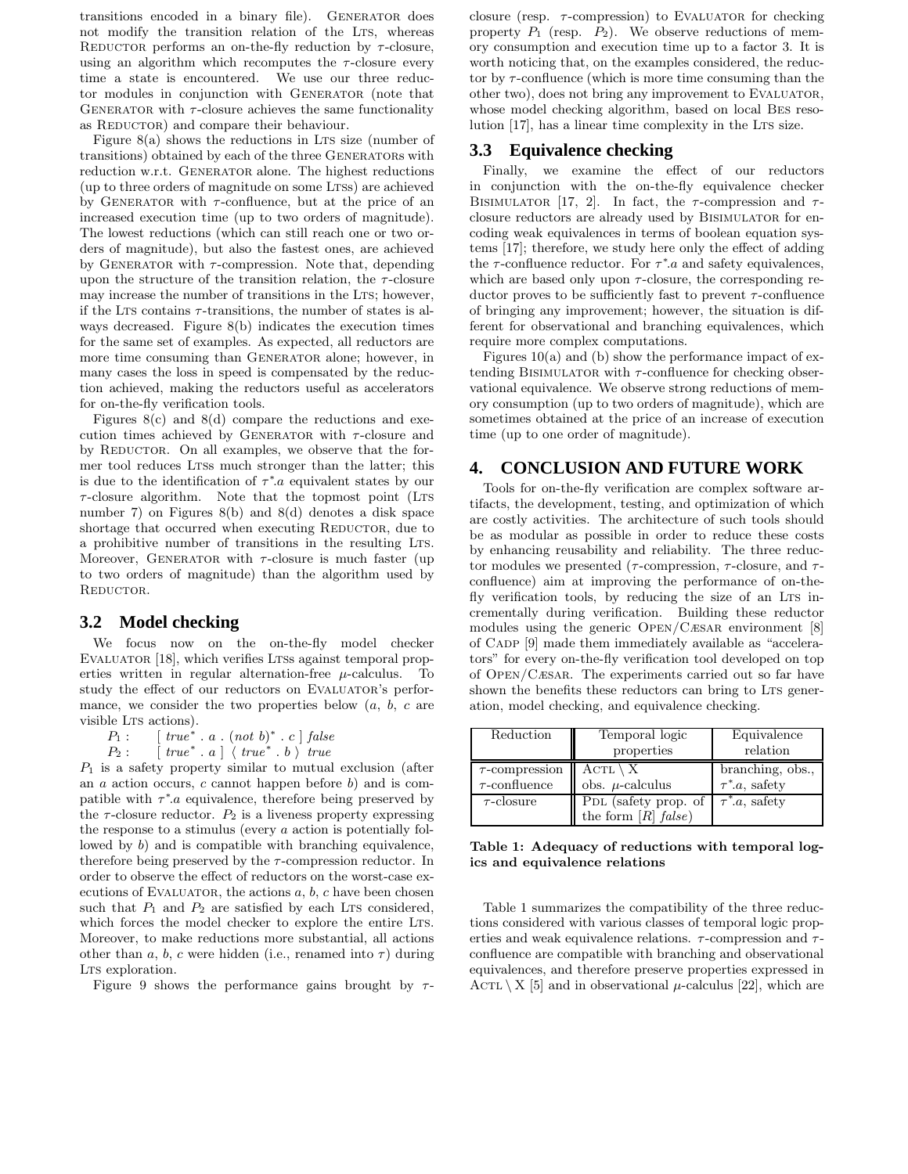transitions encoded in a binary file). Generator does not modify the transition relation of the LTS, whereas REDUCTOR performs an on-the-fly reduction by  $\tau$ -closure, using an algorithm which recomputes the  $\tau$ -closure every time a state is encountered. We use our three reductor modules in conjunction with GENERATOR (note that GENERATOR with  $\tau$ -closure achieves the same functionality as REDUCTOR) and compare their behaviour.

Figure  $8(a)$  shows the reductions in LTs size (number of transitions) obtained by each of the three Generators with reduction w.r.t. GENERATOR alone. The highest reductions (up to three orders of magnitude on some LTSs) are achieved by GENERATOR with  $\tau$ -confluence, but at the price of an increased execution time (up to two orders of magnitude). The lowest reductions (which can still reach one or two orders of magnitude), but also the fastest ones, are achieved by GENERATOR with  $\tau$ -compression. Note that, depending upon the structure of the transition relation, the  $\tau$ -closure may increase the number of transitions in the LTS; however, if the LTS contains  $\tau$ -transitions, the number of states is always decreased. Figure 8(b) indicates the execution times for the same set of examples. As expected, all reductors are more time consuming than GENERATOR alone; however, in many cases the loss in speed is compensated by the reduction achieved, making the reductors useful as accelerators for on-the-fly verification tools.

Figures  $8(c)$  and  $8(d)$  compare the reductions and execution times achieved by GENERATOR with  $\tau$ -closure and by REDUCTOR. On all examples, we observe that the former tool reduces Ltss much stronger than the latter; this is due to the identification of  $\tau^*$  *a* equivalent states by our  $\tau$ -closure algorithm. Note that the topmost point (LTs number 7) on Figures 8(b) and 8(d) denotes a disk space shortage that occurred when executing REDUCTOR, due to a prohibitive number of transitions in the resulting LTS. Moreover, GENERATOR with  $\tau$ -closure is much faster (up to two orders of magnitude) than the algorithm used by REDUCTOR.

### **3.2 Model checking**

We focus now on the on-the-fly model checker EVALUATOR [18], which verifies LTSs against temporal properties written in regular alternation-free  $\mu$ -calculus. To study the effect of our reductors on EVALUATOR's performance, we consider the two properties below  $(a, b, c \text{ are})$ visible LTS actions).

 $P_1: \qquad [\text{ true}^* \cdot a \cdot (\text{ not } b)^* \cdot c \text{ }] \text{ false}$ 

 $P_2: \quad [true^* \cdot a] \setminus true^* \cdot b \setminus true$ 

 $P_1$  is a safety property similar to mutual exclusion (after an  $a$  action occurs,  $c$  cannot happen before  $b$ ) and is compatible with  $\tau^*$  a equivalence, therefore being preserved by the  $\tau$ -closure reductor.  $P_2$  is a liveness property expressing the response to a stimulus (every  $a$  action is potentially followed by b) and is compatible with branching equivalence, therefore being preserved by the  $\tau$ -compression reductor. In order to observe the effect of reductors on the worst-case executions of EVALUATOR, the actions  $a, b, c$  have been chosen such that  $P_1$  and  $P_2$  are satisfied by each LTS considered, which forces the model checker to explore the entire LTS. Moreover, to make reductions more substantial, all actions other than a, b, c were hidden (i.e., renamed into  $\tau$ ) during LTS exploration.

Figure 9 shows the performance gains brought by  $\tau$ -

closure (resp.  $\tau$ -compression) to EVALUATOR for checking property  $P_1$  (resp.  $P_2$ ). We observe reductions of memory consumption and execution time up to a factor 3. It is worth noticing that, on the examples considered, the reductor by  $\tau$ -confluence (which is more time consuming than the other two), does not bring any improvement to Evaluator, whose model checking algorithm, based on local Bes resolution [17], has a linear time complexity in the Lts size.

### **3.3 Equivalence checking**

Finally, we examine the effect of our reductors in conjunction with the on-the-fly equivalence checker BISIMULATOR [17, 2]. In fact, the  $\tau$ -compression and  $\tau$ closure reductors are already used by BISIMULATOR for encoding weak equivalences in terms of boolean equation systems [17]; therefore, we study here only the effect of adding the  $\tau$ -confluence reductor. For  $\tau^*$  a and safety equivalences, which are based only upon  $\tau$ -closure, the corresponding reductor proves to be sufficiently fast to prevent  $\tau$ -confluence of bringing any improvement; however, the situation is different for observational and branching equivalences, which require more complex computations.

Figures  $10(a)$  and (b) show the performance impact of extending BISIMULATOR with  $\tau$ -confluence for checking observational equivalence. We observe strong reductions of memory consumption (up to two orders of magnitude), which are sometimes obtained at the price of an increase of execution time (up to one order of magnitude).

## **4. CONCLUSION AND FUTURE WORK**

Tools for on-the-fly verification are complex software artifacts, the development, testing, and optimization of which are costly activities. The architecture of such tools should be as modular as possible in order to reduce these costs by enhancing reusability and reliability. The three reductor modules we presented ( $\tau$ -compression,  $\tau$ -closure, and  $\tau$ confluence) aim at improving the performance of on-thefly verification tools, by reducing the size of an LTS incrementally during verification. Building these reductor modules using the generic Open/Cæsar environment [8] of CADP [9] made them immediately available as "accelerators" for every on-the-fly verification tool developed on top of Open/Cæsar. The experiments carried out so far have shown the benefits these reductors can bring to LTS generation, model checking, and equivalence checking.

| Reduction           | Temporal logic        | Equivalence         |
|---------------------|-----------------------|---------------------|
|                     | properties            | relation            |
| $\tau$ -compression | $ACTL \setminus X$    | branching, obs.,    |
| $\tau$ -confluence  | obs. $\mu$ -calculus  | $\tau^*$ .a, safety |
| $\tau$ -closure     | PDL (safety prop. of  | $\tau^*a$ , safety  |
|                     | the form $[R]$ false) |                     |

Table 1: Adequacy of reductions with temporal logics and equivalence relations

Table 1 summarizes the compatibility of the three reductions considered with various classes of temporal logic properties and weak equivalence relations.  $\tau$ -compression and  $\tau$ confluence are compatible with branching and observational equivalences, and therefore preserve properties expressed in ACTL  $\ X 5$  and in observational  $\mu$ -calculus [22], which are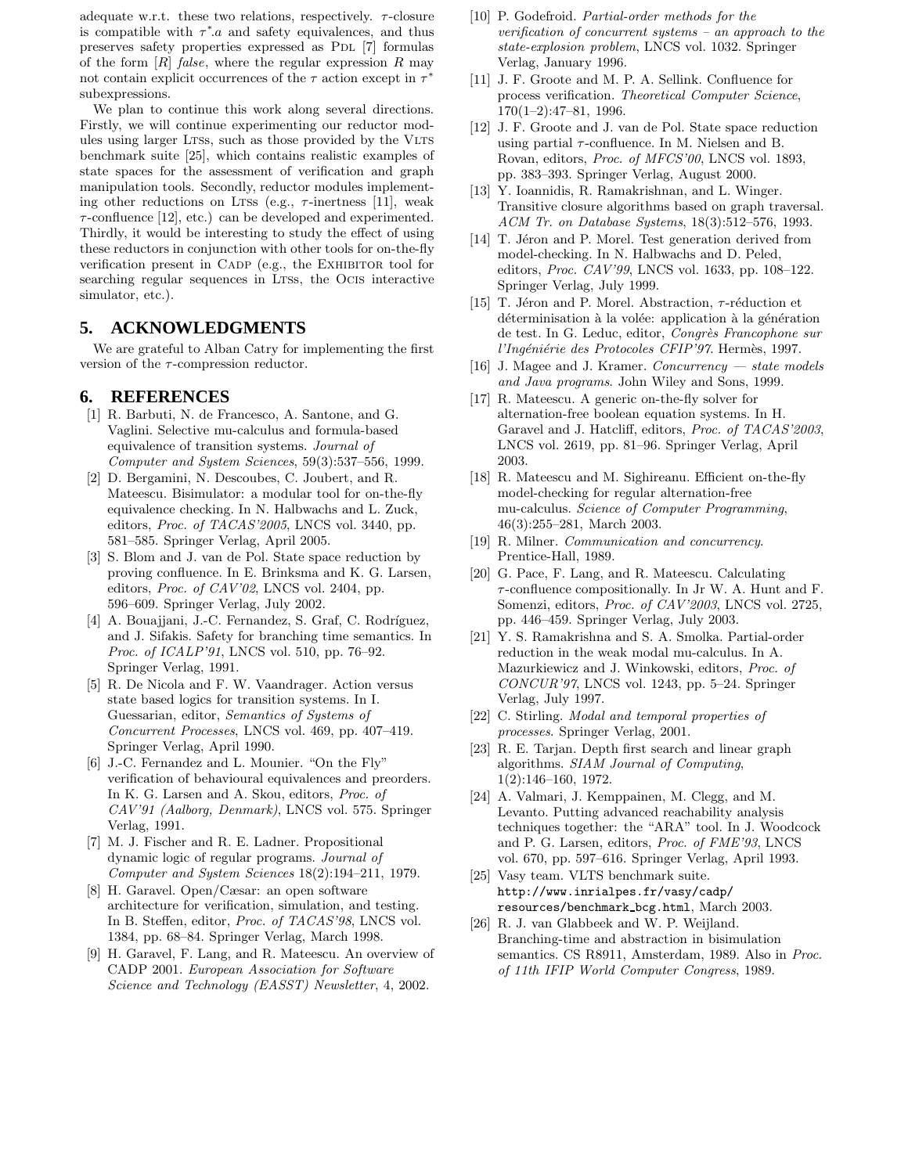adequate w.r.t. these two relations, respectively.  $\tau$ -closure is compatible with  $\tau^*$  a and safety equivalences, and thus preserves safety properties expressed as PDL [7] formulas of the form  $[R]$  false, where the regular expression R may not contain explicit occurrences of the  $\tau$  action except in  $\tau^*$ subexpressions.

We plan to continue this work along several directions. Firstly, we will continue experimenting our reductor modules using larger LTSs, such as those provided by the VLTS benchmark suite [25], which contains realistic examples of state spaces for the assessment of verification and graph manipulation tools. Secondly, reductor modules implementing other reductions on LTSs (e.g.,  $\tau$ -inertness [11], weak  $\tau$ -confluence [12], etc.) can be developed and experimented. Thirdly, it would be interesting to study the effect of using these reductors in conjunction with other tools for on-the-fly verification present in CADP (e.g., the EXHIBITOR tool for searching regular sequences in Ltss, the Ocis interactive simulator, etc.).

## **5. ACKNOWLEDGMENTS**

We are grateful to Alban Catry for implementing the first version of the  $\tau$ -compression reductor.

### **6. REFERENCES**

- [1] R. Barbuti, N. de Francesco, A. Santone, and G. Vaglini. Selective mu-calculus and formula-based equivalence of transition systems. Journal of Computer and System Sciences, 59(3):537–556, 1999.
- [2] D. Bergamini, N. Descoubes, C. Joubert, and R. Mateescu. Bisimulator: a modular tool for on-the-fly equivalence checking. In N. Halbwachs and L. Zuck, editors, Proc. of TACAS'2005, LNCS vol. 3440, pp. 581–585. Springer Verlag, April 2005.
- [3] S. Blom and J. van de Pol. State space reduction by proving confluence. In E. Brinksma and K. G. Larsen, editors, Proc. of CAV'02, LNCS vol. 2404, pp. 596–609. Springer Verlag, July 2002.
- [4] A. Bouajjani, J.-C. Fernandez, S. Graf, C. Rodríguez, and J. Sifakis. Safety for branching time semantics. In Proc. of ICALP'91, LNCS vol. 510, pp. 76-92. Springer Verlag, 1991.
- [5] R. De Nicola and F. W. Vaandrager. Action versus state based logics for transition systems. In I. Guessarian, editor, Semantics of Systems of Concurrent Processes, LNCS vol. 469, pp. 407–419. Springer Verlag, April 1990.
- [6] J.-C. Fernandez and L. Mounier. "On the Fly" verification of behavioural equivalences and preorders. In K. G. Larsen and A. Skou, editors, Proc. of CAV'91 (Aalborg, Denmark), LNCS vol. 575. Springer Verlag, 1991.
- [7] M. J. Fischer and R. E. Ladner. Propositional dynamic logic of regular programs. Journal of Computer and System Sciences 18(2):194–211, 1979.
- [8] H. Garavel. Open/Cæsar: an open software architecture for verification, simulation, and testing. In B. Steffen, editor, Proc. of TACAS'98, LNCS vol. 1384, pp. 68–84. Springer Verlag, March 1998.
- [9] H. Garavel, F. Lang, and R. Mateescu. An overview of CADP 2001. European Association for Software Science and Technology (EASST) Newsletter, 4, 2002.
- [10] P. Godefroid. Partial-order methods for the verification of concurrent systems – an approach to the state-explosion problem, LNCS vol. 1032. Springer Verlag, January 1996.
- [11] J. F. Groote and M. P. A. Sellink. Confluence for process verification. Theoretical Computer Science, 170(1–2):47–81, 1996.
- [12] J. F. Groote and J. van de Pol. State space reduction using partial  $\tau$ -confluence. In M. Nielsen and B. Rovan, editors, Proc. of MFCS'00, LNCS vol. 1893, pp. 383–393. Springer Verlag, August 2000.
- [13] Y. Ioannidis, R. Ramakrishnan, and L. Winger. Transitive closure algorithms based on graph traversal. ACM Tr. on Database Systems, 18(3):512–576, 1993.
- [14] T. Jéron and P. Morel. Test generation derived from model-checking. In N. Halbwachs and D. Peled, editors, Proc. CAV'99, LNCS vol. 1633, pp. 108–122. Springer Verlag, July 1999.
- [15] T. Jéron and P. Morel. Abstraction,  $\tau$ -réduction et déterminisation à la volée: application à la génération de test. In G. Leduc, editor, Congrès Francophone sur l'Ingéniérie des Protocoles CFIP'97. Hermès, 1997.
- [16] J. Magee and J. Kramer. Concurrency  $-$  state models and Java programs. John Wiley and Sons, 1999.
- [17] R. Mateescu. A generic on-the-fly solver for alternation-free boolean equation systems. In H. Garavel and J. Hatcliff, editors, Proc. of TACAS'2003, LNCS vol. 2619, pp. 81–96. Springer Verlag, April 2003.
- [18] R. Mateescu and M. Sighireanu. Efficient on-the-fly model-checking for regular alternation-free mu-calculus. Science of Computer Programming, 46(3):255–281, March 2003.
- [19] R. Milner. Communication and concurrency. Prentice-Hall, 1989.
- [20] G. Pace, F. Lang, and R. Mateescu. Calculating  $\tau$ -confluence compositionally. In Jr W. A. Hunt and F. Somenzi, editors, Proc. of CAV'2003, LNCS vol. 2725, pp. 446–459. Springer Verlag, July 2003.
- [21] Y. S. Ramakrishna and S. A. Smolka. Partial-order reduction in the weak modal mu-calculus. In A. Mazurkiewicz and J. Winkowski, editors, Proc. of CONCUR'97, LNCS vol. 1243, pp. 5–24. Springer Verlag, July 1997.
- [22] C. Stirling. *Modal and temporal properties of* processes. Springer Verlag, 2001.
- [23] R. E. Tarjan. Depth first search and linear graph algorithms. SIAM Journal of Computing, 1(2):146–160, 1972.
- [24] A. Valmari, J. Kemppainen, M. Clegg, and M. Levanto. Putting advanced reachability analysis techniques together: the "ARA" tool. In J. Woodcock and P. G. Larsen, editors, Proc. of FME'93, LNCS vol. 670, pp. 597–616. Springer Verlag, April 1993.
- [25] Vasy team. VLTS benchmark suite. http://www.inrialpes.fr/vasy/cadp/ resources/benchmark bcg.html, March 2003.
- [26] R. J. van Glabbeek and W. P. Weijland. Branching-time and abstraction in bisimulation semantics. CS R8911, Amsterdam, 1989. Also in Proc. of 11th IFIP World Computer Congress, 1989.